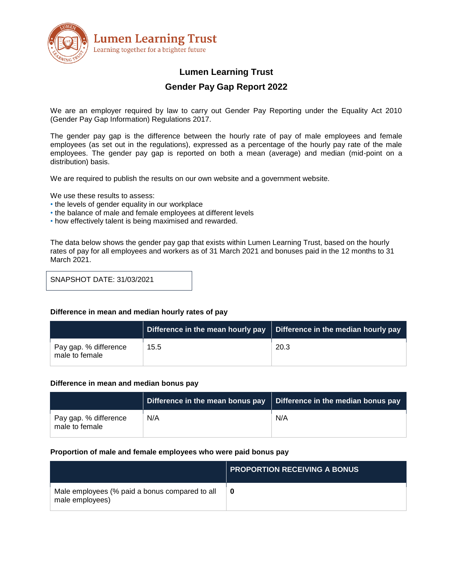

# **Lumen Learning Trust**

# **Gender Pay Gap Report 2022**

We are an employer required by law to carry out Gender Pay Reporting under the Equality Act 2010 (Gender Pay Gap Information) Regulations 2017.

The gender pay gap is the difference between the hourly rate of pay of male employees and female employees (as set out in the regulations), expressed as a percentage of the hourly pay rate of the male employees. The gender pay gap is reported on both a mean (average) and median (mid-point on a distribution) basis.

We are required to publish the results on our own website and a government website.

We use these results to assess:

- the levels of gender equality in our workplace
- the balance of male and female employees at different levels
- how effectively talent is being maximised and rewarded.

The data below shows the gender pay gap that exists within Lumen Learning Trust, based on the hourly rates of pay for all employees and workers as of 31 March 2021 and bonuses paid in the 12 months to 31 March 2021.

SNAPSHOT DATE: 31/03/2021

#### **Difference in mean and median hourly rates of pay**

|                                         |      | Difference in the mean hourly pay $\parallel$ Difference in the median hourly pay |
|-----------------------------------------|------|-----------------------------------------------------------------------------------|
| Pay gap. % difference<br>male to female | 15.5 | 20.3                                                                              |

#### **Difference in mean and median bonus pay**

|                                         | Difference in the mean bonus pay | Difference in the median bonus pay |
|-----------------------------------------|----------------------------------|------------------------------------|
| Pay gap. % difference<br>male to female | N/A                              | N/A                                |

#### **Proportion of male and female employees who were paid bonus pay**

|                                                                   | <b>PROPORTION RECEIVING A BONUS</b> |
|-------------------------------------------------------------------|-------------------------------------|
| Male employees (% paid a bonus compared to all<br>male employees) | 0                                   |